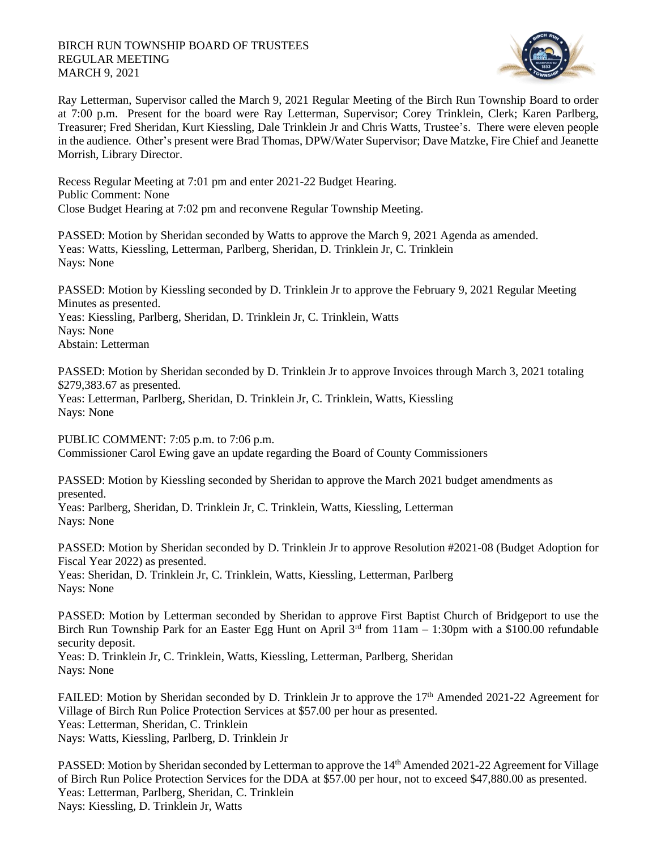## BIRCH RUN TOWNSHIP BOARD OF TRUSTEES REGULAR MEETING MARCH 9, 2021



Ray Letterman, Supervisor called the March 9, 2021 Regular Meeting of the Birch Run Township Board to order at 7:00 p.m. Present for the board were Ray Letterman, Supervisor; Corey Trinklein, Clerk; Karen Parlberg, Treasurer; Fred Sheridan, Kurt Kiessling, Dale Trinklein Jr and Chris Watts, Trustee's. There were eleven people in the audience. Other's present were Brad Thomas, DPW/Water Supervisor; Dave Matzke, Fire Chief and Jeanette Morrish, Library Director.

Recess Regular Meeting at 7:01 pm and enter 2021-22 Budget Hearing. Public Comment: None Close Budget Hearing at 7:02 pm and reconvene Regular Township Meeting.

PASSED: Motion by Sheridan seconded by Watts to approve the March 9, 2021 Agenda as amended. Yeas: Watts, Kiessling, Letterman, Parlberg, Sheridan, D. Trinklein Jr, C. Trinklein Nays: None

PASSED: Motion by Kiessling seconded by D. Trinklein Jr to approve the February 9, 2021 Regular Meeting Minutes as presented. Yeas: Kiessling, Parlberg, Sheridan, D. Trinklein Jr, C. Trinklein, Watts Nays: None Abstain: Letterman

PASSED: Motion by Sheridan seconded by D. Trinklein Jr to approve Invoices through March 3, 2021 totaling \$279,383.67 as presented.

Yeas: Letterman, Parlberg, Sheridan, D. Trinklein Jr, C. Trinklein, Watts, Kiessling Nays: None

PUBLIC COMMENT: 7:05 p.m. to 7:06 p.m. Commissioner Carol Ewing gave an update regarding the Board of County Commissioners

PASSED: Motion by Kiessling seconded by Sheridan to approve the March 2021 budget amendments as presented.

Yeas: Parlberg, Sheridan, D. Trinklein Jr, C. Trinklein, Watts, Kiessling, Letterman Nays: None

PASSED: Motion by Sheridan seconded by D. Trinklein Jr to approve Resolution #2021-08 (Budget Adoption for Fiscal Year 2022) as presented. Yeas: Sheridan, D. Trinklein Jr, C. Trinklein, Watts, Kiessling, Letterman, Parlberg Nays: None

PASSED: Motion by Letterman seconded by Sheridan to approve First Baptist Church of Bridgeport to use the Birch Run Township Park for an Easter Egg Hunt on April  $3<sup>rd</sup>$  from 11am – 1:30pm with a \$100.00 refundable security deposit.

Yeas: D. Trinklein Jr, C. Trinklein, Watts, Kiessling, Letterman, Parlberg, Sheridan Nays: None

FAILED: Motion by Sheridan seconded by D. Trinklein Jr to approve the 17<sup>th</sup> Amended 2021-22 Agreement for Village of Birch Run Police Protection Services at \$57.00 per hour as presented. Yeas: Letterman, Sheridan, C. Trinklein Nays: Watts, Kiessling, Parlberg, D. Trinklein Jr

PASSED: Motion by Sheridan seconded by Letterman to approve the 14<sup>th</sup> Amended 2021-22 Agreement for Village of Birch Run Police Protection Services for the DDA at \$57.00 per hour, not to exceed \$47,880.00 as presented. Yeas: Letterman, Parlberg, Sheridan, C. Trinklein Nays: Kiessling, D. Trinklein Jr, Watts